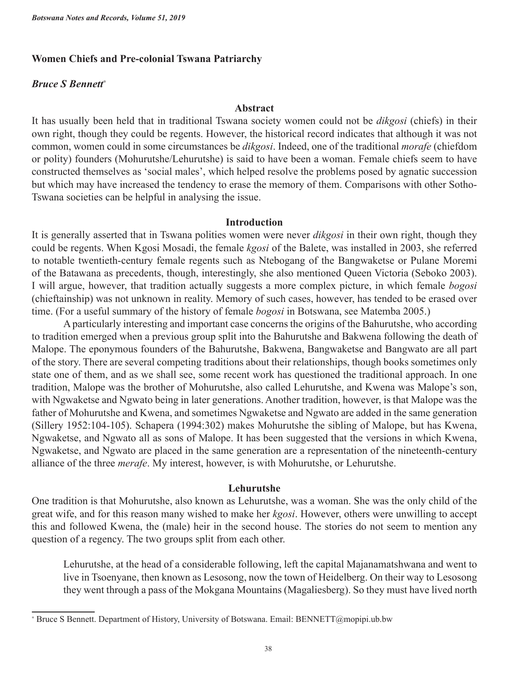# **Women Chiefs and Pre-colonial Tswana Patriarchy**

## *Bruce S Bennett*<sup>∗</sup>

### **Abstract**

It has usually been held that in traditional Tswana society women could not be *dikgosi* (chiefs) in their own right, though they could be regents. However, the historical record indicates that although it was not common, women could in some circumstances be *dikgosi*. Indeed, one of the traditional *morafe* (chiefdom or polity) founders (Mohurutshe/Lehurutshe) is said to have been a woman. Female chiefs seem to have constructed themselves as 'social males', which helped resolve the problems posed by agnatic succession but which may have increased the tendency to erase the memory of them. Comparisons with other Sotho-Tswana societies can be helpful in analysing the issue.

### **Introduction**

It is generally asserted that in Tswana polities women were never *dikgosi* in their own right, though they could be regents. When Kgosi Mosadi, the female *kgosi* of the Balete, was installed in 2003, she referred to notable twentieth-century female regents such as Ntebogang of the Bangwaketse or Pulane Moremi of the Batawana as precedents, though, interestingly, she also mentioned Queen Victoria (Seboko 2003). I will argue, however, that tradition actually suggests a more complex picture, in which female *bogosi* (chieftainship) was not unknown in reality. Memory of such cases, however, has tended to be erased over time. (For a useful summary of the history of female *bogosi* in Botswana, see Matemba 2005.)

A particularly interesting and important case concerns the origins of the Bahurutshe, who according to tradition emerged when a previous group split into the Bahurutshe and Bakwena following the death of Malope. The eponymous founders of the Bahurutshe, Bakwena, Bangwaketse and Bangwato are all part of the story. There are several competing traditions about their relationships, though books sometimes only state one of them, and as we shall see, some recent work has questioned the traditional approach. In one tradition, Malope was the brother of Mohurutshe, also called Lehurutshe, and Kwena was Malope's son, with Ngwaketse and Ngwato being in later generations. Another tradition, however, is that Malope was the father of Mohurutshe and Kwena, and sometimes Ngwaketse and Ngwato are added in the same generation (Sillery 1952:104-105). Schapera (1994:302) makes Mohurutshe the sibling of Malope, but has Kwena, Ngwaketse, and Ngwato all as sons of Malope. It has been suggested that the versions in which Kwena, Ngwaketse, and Ngwato are placed in the same generation are a representation of the nineteenth-century alliance of the three *merafe*. My interest, however, is with Mohurutshe, or Lehurutshe.

### **Lehurutshe**

One tradition is that Mohurutshe, also known as Lehurutshe, was a woman. She was the only child of the great wife, and for this reason many wished to make her *kgosi*. However, others were unwilling to accept this and followed Kwena, the (male) heir in the second house. The stories do not seem to mention any question of a regency. The two groups split from each other.

Lehurutshe, at the head of a considerable following, left the capital Majanamatshwana and went to live in Tsoenyane, then known as Lesosong, now the town of Heidelberg. On their way to Lesosong they went through a pass of the Mokgana Mountains (Magaliesberg). So they must have lived north

<sup>∗</sup> Bruce S Bennett. Department of History, University of Botswana. Email: BENNETT@mopipi.ub.bw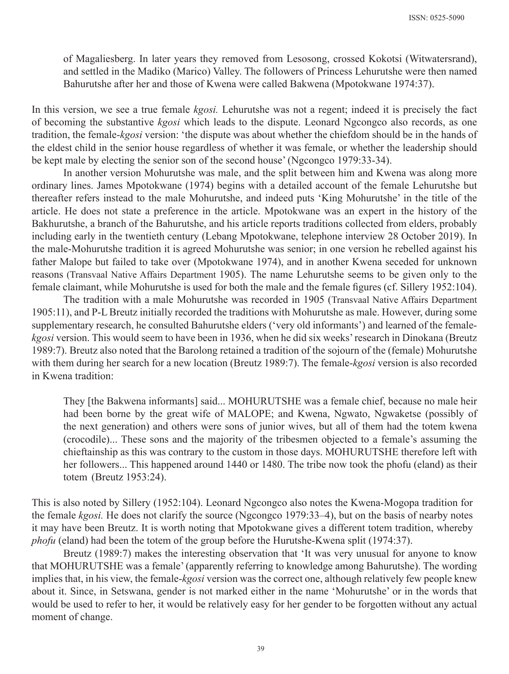of Magaliesberg. In later years they removed from Lesosong, crossed Kokotsi (Witwatersrand), and settled in the Madiko (Marico) Valley. The followers of Princess Lehurutshe were then named Bahurutshe after her and those of Kwena were called Bakwena (Mpotokwane 1974:37).

In this version, we see a true female *kgosi.* Lehurutshe was not a regent; indeed it is precisely the fact of becoming the substantive *kgosi* which leads to the dispute. Leonard Ngcongco also records, as one tradition, the female-*kgosi* version: 'the dispute was about whether the chiefdom should be in the hands of the eldest child in the senior house regardless of whether it was female, or whether the leadership should be kept male by electing the senior son of the second house' (Ngcongco 1979:33-34).

In another version Mohurutshe was male, and the split between him and Kwena was along more ordinary lines. James Mpotokwane (1974) begins with a detailed account of the female Lehurutshe but thereafter refers instead to the male Mohurutshe, and indeed puts 'King Mohurutshe' in the title of the article. He does not state a preference in the article. Mpotokwane was an expert in the history of the Bakhurutshe, a branch of the Bahurutshe, and his article reports traditions collected from elders, probably including early in the twentieth century (Lebang Mpotokwane, telephone interview 28 October 2019). In the male-Mohurutshe tradition it is agreed Mohurutshe was senior; in one version he rebelled against his father Malope but failed to take over (Mpotokwane 1974), and in another Kwena seceded for unknown reasons (Transvaal Native Affairs Department 1905). The name Lehurutshe seems to be given only to the female claimant, while Mohurutshe is used for both the male and the female figures (cf. Sillery 1952:104).

The tradition with a male Mohurutshe was recorded in 1905 (Transvaal Native Affairs Department 1905:11), and P-L Breutz initially recorded the traditions with Mohurutshe as male. However, during some supplementary research, he consulted Bahurutshe elders ('very old informants') and learned of the female*kgosi* version. This would seem to have been in 1936, when he did six weeks' research in Dinokana (Breutz 1989:7). Breutz also noted that the Barolong retained a tradition of the sojourn of the (female) Mohurutshe with them during her search for a new location (Breutz 1989:7). The female-*kgosi* version is also recorded in Kwena tradition:

They [the Bakwena informants] said... MOHURUTSHE was a female chief, because no male heir had been borne by the great wife of MALOPE; and Kwena, Ngwato, Ngwaketse (possibly of the next generation) and others were sons of junior wives, but all of them had the totem kwena (crocodile)... These sons and the majority of the tribesmen objected to a female's assuming the chieftainship as this was contrary to the custom in those days. MOHURUTSHE therefore left with her followers... This happened around 1440 or 1480. The tribe now took the phofu (eland) as their totem (Breutz 1953:24).

This is also noted by Sillery (1952:104). Leonard Ngcongco also notes the Kwena-Mogopa tradition for the female *kgosi.* He does not clarify the source (Ngcongco 1979:33–4), but on the basis of nearby notes it may have been Breutz. It is worth noting that Mpotokwane gives a different totem tradition, whereby *phofu* (eland) had been the totem of the group before the Hurutshe-Kwena split (1974:37).

Breutz (1989:7) makes the interesting observation that 'It was very unusual for anyone to know that MOHURUTSHE was a female' (apparently referring to knowledge among Bahurutshe). The wording implies that, in his view, the female-*kgosi* version was the correct one, although relatively few people knew about it. Since, in Setswana, gender is not marked either in the name 'Mohurutshe' or in the words that would be used to refer to her, it would be relatively easy for her gender to be forgotten without any actual moment of change.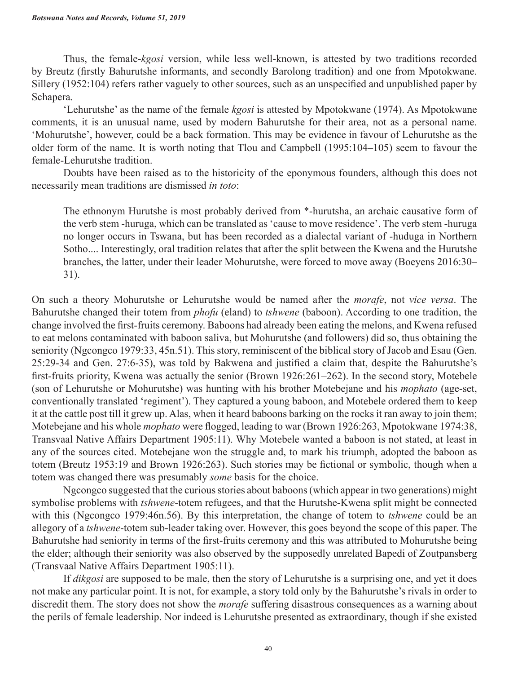Thus, the female-*kgosi* version, while less well-known, is attested by two traditions recorded by Breutz (firstly Bahurutshe informants, and secondly Barolong tradition) and one from Mpotokwane. Sillery (1952:104) refers rather vaguely to other sources, such as an unspecified and unpublished paper by Schapera.

'Lehurutshe' as the name of the female *kgosi* is attested by Mpotokwane (1974). As Mpotokwane comments, it is an unusual name, used by modern Bahurutshe for their area, not as a personal name. 'Mohurutshe', however, could be a back formation. This may be evidence in favour of Lehurutshe as the older form of the name. It is worth noting that Tlou and Campbell (1995:104–105) seem to favour the female-Lehurutshe tradition.

Doubts have been raised as to the historicity of the eponymous founders, although this does not necessarily mean traditions are dismissed *in toto*:

The ethnonym Hurutshe is most probably derived from \*-hurutsha, an archaic causative form of the verb stem -huruga, which can be translated as 'cause to move residence'. The verb stem -huruga no longer occurs in Tswana, but has been recorded as a dialectal variant of -huduga in Northern Sotho.... Interestingly, oral tradition relates that after the split between the Kwena and the Hurutshe branches, the latter, under their leader Mohurutshe, were forced to move away (Boeyens 2016:30– 31).

On such a theory Mohurutshe or Lehurutshe would be named after the *morafe*, not *vice versa*. The Bahurutshe changed their totem from *phofu* (eland) to *tshwene* (baboon). According to one tradition, the change involved the first-fruits ceremony. Baboons had already been eating the melons, and Kwena refused to eat melons contaminated with baboon saliva, but Mohurutshe (and followers) did so, thus obtaining the seniority (Ngcongco 1979:33, 45n.51). This story, reminiscent of the biblical story of Jacob and Esau (Gen. 25:29-34 and Gen. 27:6-35), was told by Bakwena and justified a claim that, despite the Bahurutshe's first-fruits priority, Kwena was actually the senior (Brown 1926:261–262). In the second story, Motebele (son of Lehurutshe or Mohurutshe) was hunting with his brother Motebejane and his *mophato* (age-set, conventionally translated 'regiment'). They captured a young baboon, and Motebele ordered them to keep it at the cattle post till it grew up. Alas, when it heard baboons barking on the rocks it ran away to join them; Motebejane and his whole *mophato* were flogged, leading to war (Brown 1926:263, Mpotokwane 1974:38, Transvaal Native Affairs Department 1905:11). Why Motebele wanted a baboon is not stated, at least in any of the sources cited. Motebejane won the struggle and, to mark his triumph, adopted the baboon as totem (Breutz 1953:19 and Brown 1926:263). Such stories may be fictional or symbolic, though when a totem was changed there was presumably *some* basis for the choice.

Ngcongco suggested that the curious stories about baboons (which appear in two generations) might symbolise problems with *tshwene-*totem refugees, and that the Hurutshe-Kwena split might be connected with this (Ngcongco 1979:46n.56). By this interpretation, the change of totem to *tshwene* could be an allegory of a *tshwene*-totem sub-leader taking over. However, this goes beyond the scope of this paper. The Bahurutshe had seniority in terms of the first-fruits ceremony and this was attributed to Mohurutshe being the elder; although their seniority was also observed by the supposedly unrelated Bapedi of Zoutpansberg (Transvaal Native Affairs Department 1905:11).

If *dikgosi* are supposed to be male, then the story of Lehurutshe is a surprising one, and yet it does not make any particular point. It is not, for example, a story told only by the Bahurutshe's rivals in order to discredit them. The story does not show the *morafe* suffering disastrous consequences as a warning about the perils of female leadership. Nor indeed is Lehurutshe presented as extraordinary, though if she existed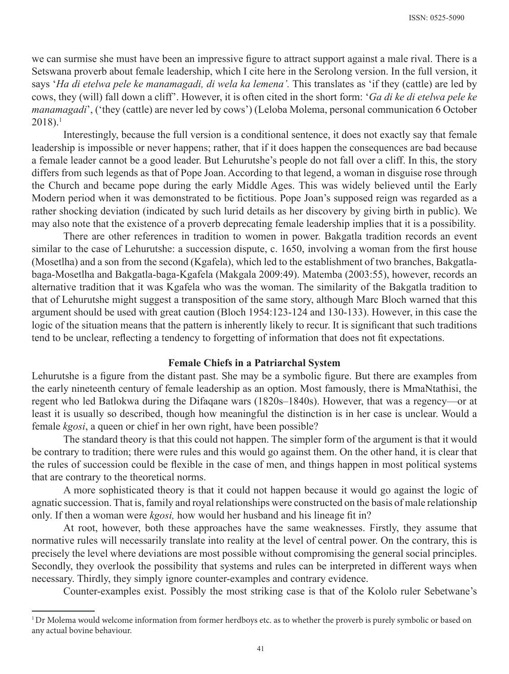we can surmise she must have been an impressive figure to attract support against a male rival. There is a Setswana proverb about female leadership, which I cite here in the Serolong version. In the full version, it says '*Ha di etelwa pele ke manamagadi, di wela ka lemena'.* This translates as 'if they (cattle) are led by cows, they (will) fall down a cliff'. However, it is often cited in the short form: '*Ga di ke di etelwa pele ke manamagadi*', ('they (cattle) are never led by cows') (Leloba Molema, personal communication 6 October 2018).1

Interestingly, because the full version is a conditional sentence, it does not exactly say that female leadership is impossible or never happens; rather, that if it does happen the consequences are bad because a female leader cannot be a good leader. But Lehurutshe's people do not fall over a cliff. In this, the story differs from such legends as that of Pope Joan. According to that legend, a woman in disguise rose through the Church and became pope during the early Middle Ages. This was widely believed until the Early Modern period when it was demonstrated to be fictitious. Pope Joan's supposed reign was regarded as a rather shocking deviation (indicated by such lurid details as her discovery by giving birth in public). We may also note that the existence of a proverb deprecating female leadership implies that it is a possibility.

There are other references in tradition to women in power. Bakgatla tradition records an event similar to the case of Lehurutshe: a succession dispute, c. 1650, involving a woman from the first house (Mosetlha) and a son from the second (Kgafela), which led to the establishment of two branches, Bakgatlabaga-Mosetlha and Bakgatla-baga-Kgafela (Makgala 2009:49). Matemba (2003:55), however, records an alternative tradition that it was Kgafela who was the woman. The similarity of the Bakgatla tradition to that of Lehurutshe might suggest a transposition of the same story, although Marc Bloch warned that this argument should be used with great caution (Bloch 1954:123-124 and 130-133). However, in this case the logic of the situation means that the pattern is inherently likely to recur. It is significant that such traditions tend to be unclear, reflecting a tendency to forgetting of information that does not fit expectations.

## **Female Chiefs in a Patriarchal System**

Lehurutshe is a figure from the distant past. She may be a symbolic figure. But there are examples from the early nineteenth century of female leadership as an option. Most famously, there is MmaNtathisi, the regent who led Batlokwa during the Difaqane wars (1820s–1840s). However, that was a regency—or at least it is usually so described, though how meaningful the distinction is in her case is unclear. Would a female *kgosi*, a queen or chief in her own right, have been possible?

The standard theory is that this could not happen. The simpler form of the argument is that it would be contrary to tradition; there were rules and this would go against them. On the other hand, it is clear that the rules of succession could be flexible in the case of men, and things happen in most political systems that are contrary to the theoretical norms.

A more sophisticated theory is that it could not happen because it would go against the logic of agnatic succession. That is, family and royal relationships were constructed on the basis of male relationship only. If then a woman were *kgosi,* how would her husband and his lineage fit in?

At root, however, both these approaches have the same weaknesses. Firstly, they assume that normative rules will necessarily translate into reality at the level of central power. On the contrary, this is precisely the level where deviations are most possible without compromising the general social principles. Secondly, they overlook the possibility that systems and rules can be interpreted in different ways when necessary. Thirdly, they simply ignore counter-examples and contrary evidence.

Counter-examples exist. Possibly the most striking case is that of the Kololo ruler Sebetwane's

<sup>&</sup>lt;sup>1</sup>Dr Molema would welcome information from former herdboys etc. as to whether the proverb is purely symbolic or based on any actual bovine behaviour.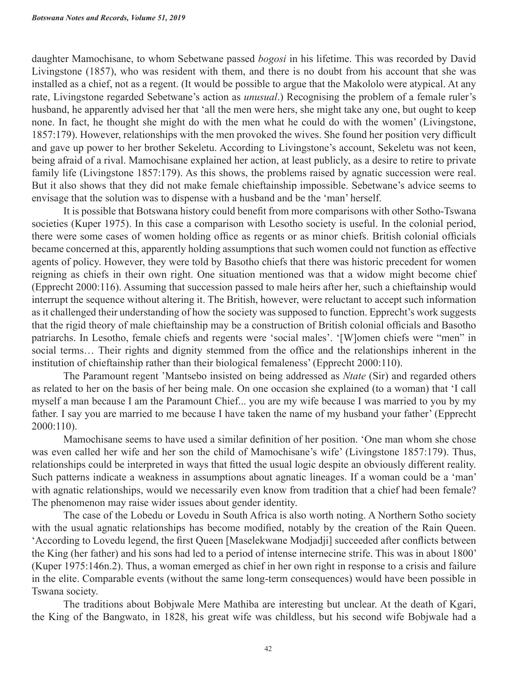daughter Mamochisane, to whom Sebetwane passed *bogosi* in his lifetime. This was recorded by David Livingstone (1857), who was resident with them, and there is no doubt from his account that she was installed as a chief, not as a regent. (It would be possible to argue that the Makololo were atypical. At any rate, Livingstone regarded Sebetwane's action as *unusual*.) Recognising the problem of a female ruler's husband, he apparently advised her that 'all the men were hers, she might take any one, but ought to keep none. In fact, he thought she might do with the men what he could do with the women' (Livingstone, 1857:179). However, relationships with the men provoked the wives. She found her position very difficult and gave up power to her brother Sekeletu. According to Livingstone's account, Sekeletu was not keen, being afraid of a rival. Mamochisane explained her action, at least publicly, as a desire to retire to private family life (Livingstone 1857:179). As this shows, the problems raised by agnatic succession were real. But it also shows that they did not make female chieftainship impossible. Sebetwane's advice seems to envisage that the solution was to dispense with a husband and be the 'man' herself.

It is possible that Botswana history could benefit from more comparisons with other Sotho-Tswana societies (Kuper 1975). In this case a comparison with Lesotho society is useful. In the colonial period, there were some cases of women holding office as regents or as minor chiefs. British colonial officials became concerned at this, apparently holding assumptions that such women could not function as effective agents of policy. However, they were told by Basotho chiefs that there was historic precedent for women reigning as chiefs in their own right. One situation mentioned was that a widow might become chief (Epprecht 2000:116). Assuming that succession passed to male heirs after her, such a chieftainship would interrupt the sequence without altering it. The British, however, were reluctant to accept such information as it challenged their understanding of how the society was supposed to function. Epprecht's work suggests that the rigid theory of male chieftainship may be a construction of British colonial officials and Basotho patriarchs. In Lesotho, female chiefs and regents were 'social males'. '[W]omen chiefs were "men" in social terms… Their rights and dignity stemmed from the office and the relationships inherent in the institution of chieftainship rather than their biological femaleness' (Epprecht 2000:110).

The Paramount regent 'Mantsebo insisted on being addressed as *Ntate* (Sir) and regarded others as related to her on the basis of her being male. On one occasion she explained (to a woman) that 'I call myself a man because I am the Paramount Chief... you are my wife because I was married to you by my father. I say you are married to me because I have taken the name of my husband your father' (Epprecht 2000:110).

Mamochisane seems to have used a similar definition of her position. 'One man whom she chose was even called her wife and her son the child of Mamochisane's wife' (Livingstone 1857:179). Thus, relationships could be interpreted in ways that fitted the usual logic despite an obviously different reality. Such patterns indicate a weakness in assumptions about agnatic lineages. If a woman could be a 'man' with agnatic relationships, would we necessarily even know from tradition that a chief had been female? The phenomenon may raise wider issues about gender identity.

The case of the Lobedu or Lovedu in South Africa is also worth noting. A Northern Sotho society with the usual agnatic relationships has become modified, notably by the creation of the Rain Queen. 'According to Lovedu legend, the first Queen [Maselekwane Modjadji] succeeded after conflicts between the King (her father) and his sons had led to a period of intense internecine strife. This was in about 1800' (Kuper 1975:146n.2). Thus, a woman emerged as chief in her own right in response to a crisis and failure in the elite. Comparable events (without the same long-term consequences) would have been possible in Tswana society.

The traditions about Bobjwale Mere Mathiba are interesting but unclear. At the death of Kgari, the King of the Bangwato, in 1828, his great wife was childless, but his second wife Bobjwale had a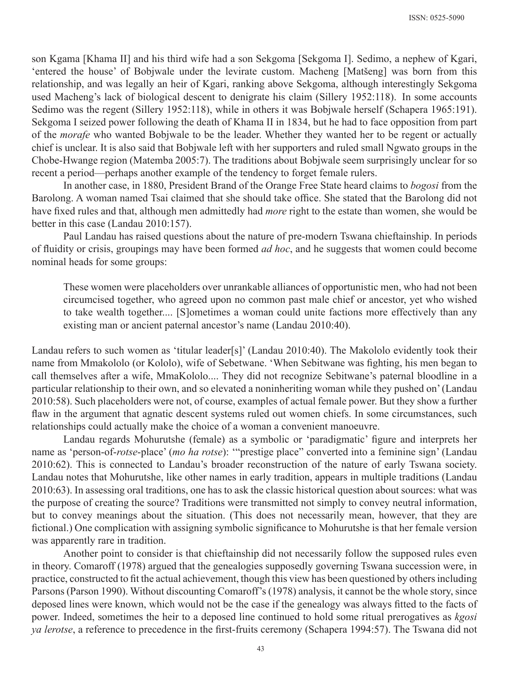son Kgama [Khama II] and his third wife had a son Sekgoma [Sekgoma I]. Sedimo, a nephew of Kgari, 'entered the house' of Bobjwale under the levirate custom. Macheng [Matšeng] was born from this relationship, and was legally an heir of Kgari, ranking above Sekgoma, although interestingly Sekgoma used Macheng's lack of biological descent to denigrate his claim (Sillery 1952:118). In some accounts Sedimo was the regent (Sillery 1952:118), while in others it was Bobjwale herself (Schapera 1965:191). Sekgoma I seized power following the death of Khama II in 1834, but he had to face opposition from part of the *morafe* who wanted Bobjwale to be the leader. Whether they wanted her to be regent or actually chief is unclear. It is also said that Bobjwale left with her supporters and ruled small Ngwato groups in the Chobe-Hwange region (Matemba 2005:7). The traditions about Bobjwale seem surprisingly unclear for so recent a period—perhaps another example of the tendency to forget female rulers.

In another case, in 1880, President Brand of the Orange Free State heard claims to *bogosi* from the Barolong. A woman named Tsai claimed that she should take office. She stated that the Barolong did not have fixed rules and that, although men admittedly had *more* right to the estate than women, she would be better in this case (Landau 2010:157).

Paul Landau has raised questions about the nature of pre-modern Tswana chieftainship. In periods of fluidity or crisis, groupings may have been formed *ad hoc*, and he suggests that women could become nominal heads for some groups:

These women were placeholders over unrankable alliances of opportunistic men, who had not been circumcised together, who agreed upon no common past male chief or ancestor, yet who wished to take wealth together.... [S]ometimes a woman could unite factions more effectively than any existing man or ancient paternal ancestor's name (Landau 2010:40).

Landau refers to such women as 'titular leader[s]' (Landau 2010:40). The Makololo evidently took their name from Mmakololo (or Kololo), wife of Sebetwane. 'When Sebitwane was fighting, his men began to call themselves after a wife, MmaKololo.... They did not recognize Sebitwane's paternal bloodline in a particular relationship to their own, and so elevated a noninheriting woman while they pushed on' (Landau 2010:58). Such placeholders were not, of course, examples of actual female power. But they show a further flaw in the argument that agnatic descent systems ruled out women chiefs. In some circumstances, such relationships could actually make the choice of a woman a convenient manoeuvre.

Landau regards Mohurutshe (female) as a symbolic or 'paradigmatic' figure and interprets her name as 'person-of-*rotse*-place' (*mo ha rotse*): '"prestige place" converted into a feminine sign' (Landau 2010:62). This is connected to Landau's broader reconstruction of the nature of early Tswana society. Landau notes that Mohurutshe, like other names in early tradition, appears in multiple traditions (Landau 2010:63). In assessing oral traditions, one has to ask the classic historical question about sources: what was the purpose of creating the source? Traditions were transmitted not simply to convey neutral information, but to convey meanings about the situation. (This does not necessarily mean, however, that they are fictional.) One complication with assigning symbolic significance to Mohurutshe is that her female version was apparently rare in tradition.

Another point to consider is that chieftainship did not necessarily follow the supposed rules even in theory. Comaroff (1978) argued that the genealogies supposedly governing Tswana succession were, in practice, constructed to fit the actual achievement, though this view has been questioned by others including Parsons (Parson 1990). Without discounting Comaroff's (1978) analysis, it cannot be the whole story, since deposed lines were known, which would not be the case if the genealogy was always fitted to the facts of power. Indeed, sometimes the heir to a deposed line continued to hold some ritual prerogatives as *kgosi ya lerotse*, a reference to precedence in the first-fruits ceremony (Schapera 1994:57). The Tswana did not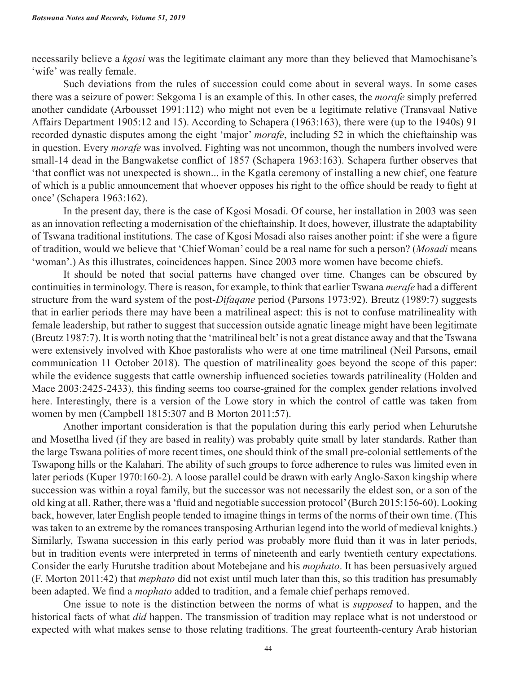necessarily believe a *kgosi* was the legitimate claimant any more than they believed that Mamochisane's 'wife' was really female.

Such deviations from the rules of succession could come about in several ways. In some cases there was a seizure of power: Sekgoma I is an example of this. In other cases, the *morafe* simply preferred another candidate (Arbousset 1991:112) who might not even be a legitimate relative (Transvaal Native Affairs Department 1905:12 and 15). According to Schapera (1963:163), there were (up to the 1940s) 91 recorded dynastic disputes among the eight 'major' *morafe*, including 52 in which the chieftainship was in question. Every *morafe* was involved. Fighting was not uncommon, though the numbers involved were small-14 dead in the Bangwaketse conflict of 1857 (Schapera 1963:163). Schapera further observes that 'that conflict was not unexpected is shown... in the Kgatla ceremony of installing a new chief, one feature of which is a public announcement that whoever opposes his right to the office should be ready to fight at once' (Schapera 1963:162).

In the present day, there is the case of Kgosi Mosadi. Of course, her installation in 2003 was seen as an innovation reflecting a modernisation of the chieftainship. It does, however, illustrate the adaptability of Tswana traditional institutions. The case of Kgosi Mosadi also raises another point: if she were a figure of tradition, would we believe that 'Chief Woman' could be a real name for such a person? (*Mosadi* means 'woman'.) As this illustrates, coincidences happen. Since 2003 more women have become chiefs.

It should be noted that social patterns have changed over time. Changes can be obscured by continuities in terminology. There is reason, for example, to think that earlier Tswana *merafe* had a different structure from the ward system of the post-*Difaqane* period (Parsons 1973:92). Breutz (1989:7) suggests that in earlier periods there may have been a matrilineal aspect: this is not to confuse matrilineality with female leadership, but rather to suggest that succession outside agnatic lineage might have been legitimate (Breutz 1987:7). It is worth noting that the 'matrilineal belt' is not a great distance away and that the Tswana were extensively involved with Khoe pastoralists who were at one time matrilineal (Neil Parsons, email communication 11 October 2018). The question of matrilineality goes beyond the scope of this paper: while the evidence suggests that cattle ownership influenced societies towards patrilineality (Holden and Mace 2003:2425-2433), this finding seems too coarse-grained for the complex gender relations involved here. Interestingly, there is a version of the Lowe story in which the control of cattle was taken from women by men (Campbell 1815:307 and B Morton 2011:57).

Another important consideration is that the population during this early period when Lehurutshe and Mosetlha lived (if they are based in reality) was probably quite small by later standards. Rather than the large Tswana polities of more recent times, one should think of the small pre-colonial settlements of the Tswapong hills or the Kalahari. The ability of such groups to force adherence to rules was limited even in later periods (Kuper 1970:160-2). A loose parallel could be drawn with early Anglo-Saxon kingship where succession was within a royal family, but the successor was not necessarily the eldest son, or a son of the old king at all. Rather, there was a 'fluid and negotiable succession protocol' (Burch 2015:156-60). Looking back, however, later English people tended to imagine things in terms of the norms of their own time. (This was taken to an extreme by the romances transposing Arthurian legend into the world of medieval knights.) Similarly, Tswana succession in this early period was probably more fluid than it was in later periods, but in tradition events were interpreted in terms of nineteenth and early twentieth century expectations. Consider the early Hurutshe tradition about Motebejane and his *mophato*. It has been persuasively argued (F. Morton 2011:42) that *mephato* did not exist until much later than this, so this tradition has presumably been adapted. We find a *mophato* added to tradition, and a female chief perhaps removed.

One issue to note is the distinction between the norms of what is *supposed* to happen, and the historical facts of what *did* happen. The transmission of tradition may replace what is not understood or expected with what makes sense to those relating traditions. The great fourteenth-century Arab historian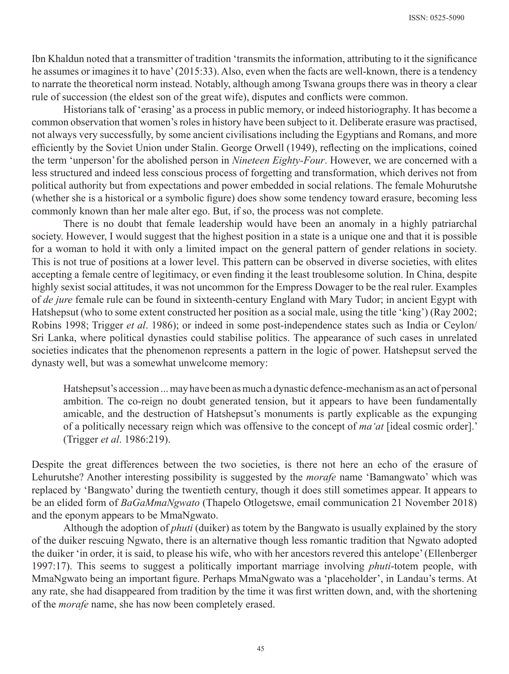Ibn Khaldun noted that a transmitter of tradition 'transmits the information, attributing to it the significance he assumes or imagines it to have' (2015:33). Also, even when the facts are well-known, there is a tendency to narrate the theoretical norm instead. Notably, although among Tswana groups there was in theory a clear rule of succession (the eldest son of the great wife), disputes and conflicts were common.

Historians talk of 'erasing' as a process in public memory, or indeed historiography. It has become a common observation that women's roles in history have been subject to it. Deliberate erasure was practised, not always very successfully, by some ancient civilisations including the Egyptians and Romans, and more efficiently by the Soviet Union under Stalin. George Orwell (1949), reflecting on the implications, coined the term 'unperson'for the abolished person in *Nineteen Eighty-Four*. However, we are concerned with a less structured and indeed less conscious process of forgetting and transformation, which derives not from political authority but from expectations and power embedded in social relations. The female Mohurutshe (whether she is a historical or a symbolic figure) does show some tendency toward erasure, becoming less commonly known than her male alter ego. But, if so, the process was not complete.

There is no doubt that female leadership would have been an anomaly in a highly patriarchal society. However, I would suggest that the highest position in a state is a unique one and that it is possible for a woman to hold it with only a limited impact on the general pattern of gender relations in society. This is not true of positions at a lower level. This pattern can be observed in diverse societies, with elites accepting a female centre of legitimacy, or even finding it the least troublesome solution. In China, despite highly sexist social attitudes, it was not uncommon for the Empress Dowager to be the real ruler. Examples of *de jure* female rule can be found in sixteenth-century England with Mary Tudor; in ancient Egypt with Hatshepsut (who to some extent constructed her position as a social male, using the title 'king') (Ray 2002; Robins 1998; Trigger *et al*. 1986); or indeed in some post-independence states such as India or Ceylon/ Sri Lanka, where political dynasties could stabilise politics. The appearance of such cases in unrelated societies indicates that the phenomenon represents a pattern in the logic of power. Hatshepsut served the dynasty well, but was a somewhat unwelcome memory:

Hatshepsut's accession ... may have been as much a dynastic defence-mechanism as an act of personal ambition. The co-reign no doubt generated tension, but it appears to have been fundamentally amicable, and the destruction of Hatshepsut's monuments is partly explicable as the expunging of a politically necessary reign which was offensive to the concept of *ma'at* [ideal cosmic order].' (Trigger *et al*. 1986:219).

Despite the great differences between the two societies, is there not here an echo of the erasure of Lehurutshe? Another interesting possibility is suggested by the *morafe* name 'Bamangwato' which was replaced by 'Bangwato' during the twentieth century, though it does still sometimes appear. It appears to be an elided form of *BaGaMmaNgwato* (Thapelo Otlogetswe, email communication 21 November 2018) and the eponym appears to be MmaNgwato.

Although the adoption of *phuti* (duiker) as totem by the Bangwato is usually explained by the story of the duiker rescuing Ngwato, there is an alternative though less romantic tradition that Ngwato adopted the duiker 'in order, it is said, to please his wife, who with her ancestors revered this antelope' (Ellenberger 1997:17). This seems to suggest a politically important marriage involving *phuti*-totem people, with MmaNgwato being an important figure. Perhaps MmaNgwato was a 'placeholder', in Landau's terms. At any rate, she had disappeared from tradition by the time it was first written down, and, with the shortening of the *morafe* name, she has now been completely erased.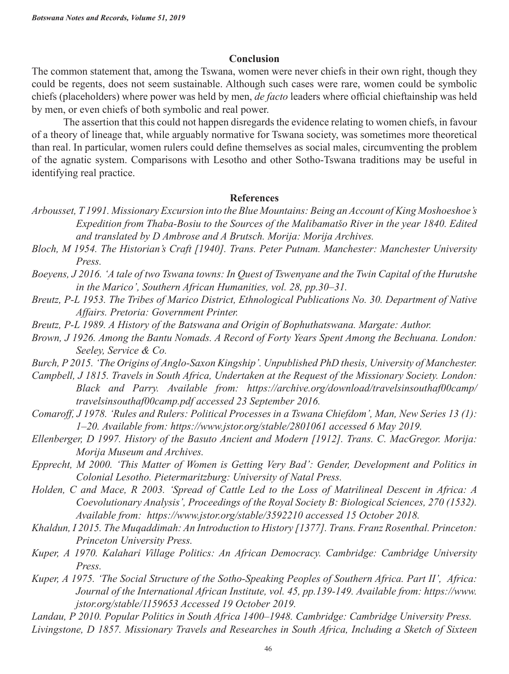#### **Conclusion**

The common statement that, among the Tswana, women were never chiefs in their own right, though they could be regents, does not seem sustainable. Although such cases were rare, women could be symbolic chiefs (placeholders) where power was held by men, *de facto* leaders where official chieftainship was held by men, or even chiefs of both symbolic and real power.

The assertion that this could not happen disregards the evidence relating to women chiefs, in favour of a theory of lineage that, while arguably normative for Tswana society, was sometimes more theoretical than real. In particular, women rulers could define themselves as social males, circumventing the problem of the agnatic system. Comparisons with Lesotho and other Sotho-Tswana traditions may be useful in identifying real practice.

#### **References**

- *Arbousset, T 1991. Missionary Excursion into the Blue Mountains: Being an Account of King Moshoeshoe's Expedition from Thaba-Bosiu to the Sources of the Malibamatšo River in the year 1840. Edited and translated by D Ambrose and A Brutsch. Morija: Morija Archives.*
- *Bloch, M 1954. The Historian's Craft [1940]. Trans. Peter Putnam. Manchester: Manchester University Press.*
- *Boeyens, J 2016. 'A tale of two Tswana towns: In Quest of Tswenyane and the Twin Capital of the Hurutshe in the Marico', Southern African Humanities, vol. 28, pp.30–31.*
- *Breutz, P-L 1953. The Tribes of Marico District, Ethnological Publications No. 30. Department of Native Affairs. Pretoria: Government Printer.*
- *Breutz, P-L 1989. A History of the Batswana and Origin of Bophuthatswana. Margate: Author.*
- *Brown, J 1926. Among the Bantu Nomads. A Record of Forty Years Spent Among the Bechuana. London: Seeley, Service & Co.*
- *Burch, P 2015. 'The Origins of Anglo-Saxon Kingship'. Unpublished PhD thesis, University of Manchester.*
- *Campbell, J 1815. Travels in South Africa, Undertaken at the Request of the Missionary Society. London: Black and Parry. Available from: https://archive.org/download/travelsinsouthaf00camp/ travelsinsouthaf00camp.pdf accessed 23 September 2016.*
- *Comaroff, J 1978. 'Rules and Rulers: Political Processes in a Tswana Chiefdom', Man, New Series 13 (1): 1–20. Available from: https://www.jstor.org/stable/2801061 accessed 6 May 2019.*
- *Ellenberger, D 1997. History of the Basuto Ancient and Modern [1912]. Trans. C. MacGregor. Morija: Morija Museum and Archives.*
- *Epprecht, M 2000. 'This Matter of Women is Getting Very Bad': Gender, Development and Politics in Colonial Lesotho. Pietermaritzburg: University of Natal Press.*
- *Holden, C and Mace, R 2003. 'Spread of Cattle Led to the Loss of Matrilineal Descent in Africa: A Coevolutionary Analysis', Proceedings of the Royal Society B: Biological Sciences, 270 (1532). Available from: https://www.jstor.org/stable/3592210 accessed 15 October 2018.*
- *Khaldun, I 2015. The Muqaddimah: An Introduction to History [1377]. Trans. Franz Rosenthal. Princeton: Princeton University Press.*
- *Kuper, A 1970. Kalahari Village Politics: An African Democracy. Cambridge: Cambridge University Press.*
- *Kuper, A 1975. 'The Social Structure of the Sotho-Speaking Peoples of Southern Africa. Part II', Africa: Journal of the International African Institute, vol. 45, pp.139-149. Available from: https://www. jstor.org/stable/1159653 Accessed 19 October 2019.*
- *Landau, P 2010. Popular Politics in South Africa 1400–1948. Cambridge: Cambridge University Press. Livingstone, D 1857. Missionary Travels and Researches in South Africa, Including a Sketch of Sixteen*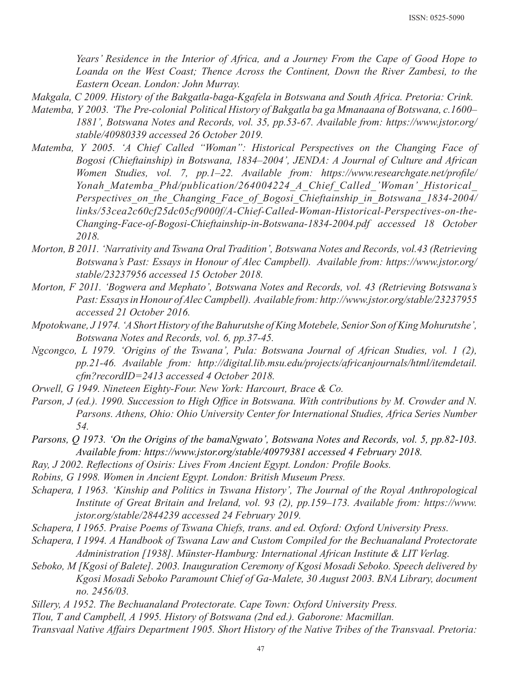*Years' Residence in the Interior of Africa, and a Journey From the Cape of Good Hope to Loanda on the West Coast; Thence Across the Continent, Down the River Zambesi, to the Eastern Ocean. London: John Murray.*

*Makgala, C 2009. History of the Bakgatla-baga-Kgafela in Botswana and South Africa. Pretoria: Crink.*

- *Matemba, Y 2003. 'The Pre-colonial Political History of Bakgatla ba ga Mmanaana of Botswana, c.1600– 1881', Botswana Notes and Records, vol. 35, pp.53-67. Available from: https://www.jstor.org/ stable/40980339 accessed 26 October 2019.*
- *Matemba, Y 2005. 'A Chief Called "Woman": Historical Perspectives on the Changing Face of Bogosi (Chieftainship) in Botswana, 1834–2004', JENDA: A Journal of Culture and African Women Studies, vol. 7, pp.1–22. Available from: https://www.researchgate.net/profile/ Yonah\_Matemba\_Phd/publication/264004224\_A\_Chief\_Called\_'Woman'\_Historical\_ Perspectives* on the Changing Face of Bogosi Chieftainship in Botswana 1834-2004/ *links/53cea2c60cf25dc05cf9000f/A-Chief-Called-Woman-Historical-Perspectives-on-the-Changing-Face-of-Bogosi-Chieftainship-in-Botswana-1834-2004.pdf accessed 18 October 2018.*
- *Morton, B 2011. 'Narrativity and Tswana Oral Tradition', Botswana Notes and Records, vol.43 (Retrieving Botswana's Past: Essays in Honour of Alec Campbell). Available from: https://www.jstor.org/ stable/23237956 accessed 15 October 2018.*
- *Morton, F 2011. 'Bogwera and Mephato', Botswana Notes and Records, vol. 43 (Retrieving Botswana's Past: Essays in Honour of Alec Campbell). Available from: http://www.jstor.org/stable/23237955 accessed 21 October 2016.*
- *Mpotokwane, J 1974. 'A Short History of the Bahurutshe of King Motebele, Senior Son of King Mohurutshe', Botswana Notes and Records, vol. 6, pp.37-45.*
- *Ngcongco, L 1979. 'Origins of the Tswana', Pula: Botswana Journal of African Studies, vol. 1 (2), pp.21-46. Available from: http://digital.lib.msu.edu/projects/africanjournals/html/itemdetail. cfm?recordID=2413 accessed 4 October 2018.*
- *Orwell, G 1949. Nineteen Eighty-Four. New York: Harcourt, Brace & Co.*
- *Parson, J (ed.). 1990. Succession to High Office in Botswana. With contributions by M. Crowder and N. Parsons. Athens, Ohio: Ohio University Center for International Studies, Africa Series Number 54.*
- *Parsons, Q 1973. 'On the Origins of the bamaNgwato', Botswana Notes and Records, vol. 5, pp.82-103. Available from: https://www.jstor.org/stable/40979381 accessed 4 February 2018.*
- *Ray, J 2002. Reflections of Osiris: Lives From Ancient Egypt. London: Profile Books.*
- *Robins, G 1998. Women in Ancient Egypt. London: British Museum Press.*
- *Schapera, I 1963. 'Kinship and Politics in Tswana History', The Journal of the Royal Anthropological Institute of Great Britain and Ireland, vol. 93 (2), pp.159–173. Available from: https://www. jstor.org/stable/2844239 accessed 24 February 2019.*
- *Schapera, I 1965. Praise Poems of Tswana Chiefs, trans. and ed. Oxford: Oxford University Press.*
- *Schapera, I 1994. A Handbook of Tswana Law and Custom Compiled for the Bechuanaland Protectorate Administration [1938]. Münster-Hamburg: International African Institute & LIT Verlag.*
- *Seboko, M [Kgosi of Balete]. 2003. Inauguration Ceremony of Kgosi Mosadi Seboko. Speech delivered by Kgosi Mosadi Seboko Paramount Chief of Ga-Malete, 30 August 2003. BNA Library, document no. 2456/03.*
- *Sillery, A 1952. The Bechuanaland Protectorate. Cape Town: Oxford University Press.*
- *Tlou, T and Campbell, A 1995. History of Botswana (2nd ed.). Gaborone: Macmillan.*
- *Transvaal Native Affairs Department 1905. Short History of the Native Tribes of the Transvaal. Pretoria:*